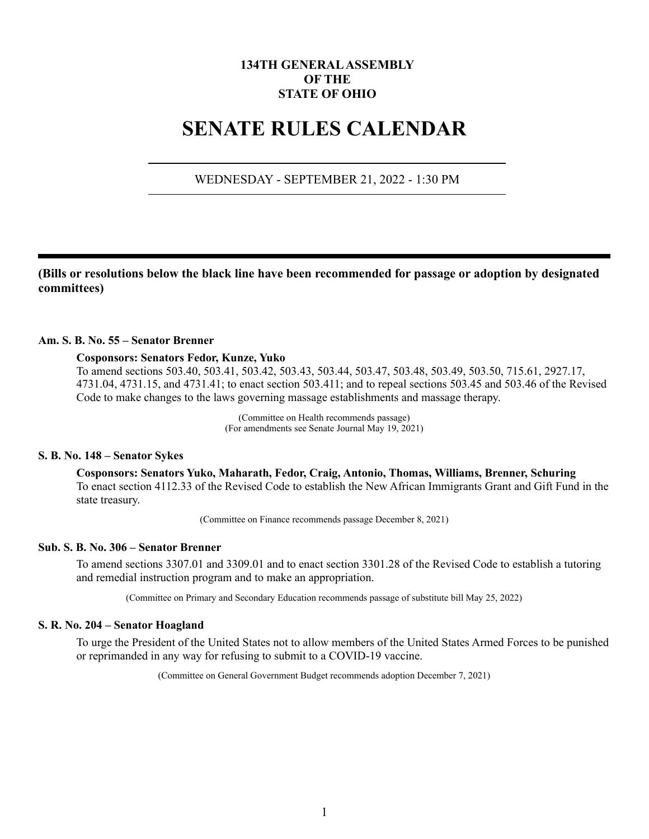# **134TH GENERAL ASSEMBLY OF THE STATE OF OHIO**

# **SENATE RULES CALENDAR**

# WEDNESDAY - SEPTEMBER 21, 2022 - 1:30 PM

**(Bills or resolutions below the black line have been recommended for passage or adoption by designated committees)**

# **Am. S. B. No. 55 – Senator Brenner**

#### **Cosponsors: Senators Fedor, Kunze, Yuko**

To amend sections 503.40, 503.41, 503.42, 503.43, 503.44, 503.47, 503.48, 503.49, 503.50, 715.61, 2927.17, 4731.04, 4731.15, and 4731.41; to enact section 503.411; and to repeal sections 503.45 and 503.46 of the Revised Code to make changes to the laws governing massage establishments and massage therapy.

> (Committee on Health recommends passage) (For amendments see Senate Journal May 19, 2021)

#### **S. B. No. 148 – Senator Sykes**

**Cosponsors: Senators Yuko, Maharath, Fedor, Craig, Antonio, Thomas, Williams, Brenner, Schuring** To enact section 4112.33 of the Revised Code to establish the New African Immigrants Grant and Gift Fund in the state treasury.

(Committee on Finance recommends passage December 8, 2021)

# **Sub. S. B. No. 306 – Senator Brenner**

To amend sections 3307.01 and 3309.01 and to enact section 3301.28 of the Revised Code to establish a tutoring and remedial instruction program and to make an appropriation.

(Committee on Primary and Secondary Education recommends passage of substitute bill May 25, 2022)

## **S. R. No. 204 – Senator Hoagland**

To urge the President of the United States not to allow members of the United States Armed Forces to be punished or reprimanded in any way for refusing to submit to a COVID-19 vaccine.

(Committee on General Government Budget recommends adoption December 7, 2021)